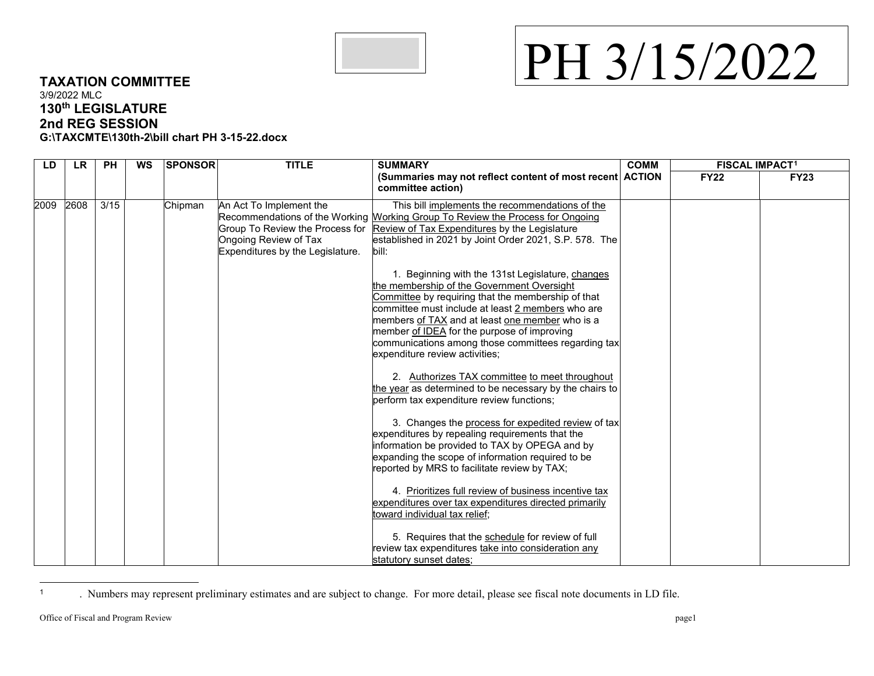

## <span id="page-0-0"></span>PH 3/15/2022

## **TAXATION COMMITTEE** 3/9/2022 MLC **130th LEGISLATURE 2nd REG SESSION G:\TAXCMTE\130th-2\bill chart PH 3-15-22.docx**

| LD   | <b>LR</b> | <b>PH</b> | <b>WS</b> | <b>SPONSOR</b> | <b>TITLE</b>                                                                         | <b>SUMMARY</b><br>(Summaries may not reflect content of most recent ACTION<br>committee action)                                                                                                                                                                                                                                                                                                                                                                                                                                                                                                                                                                                                                                                                                                                                                                                                                                                                                                                                                                                                                                                                                                                                          | <b>COMM</b> | <b>FISCAL IMPACT1</b> |             |
|------|-----------|-----------|-----------|----------------|--------------------------------------------------------------------------------------|------------------------------------------------------------------------------------------------------------------------------------------------------------------------------------------------------------------------------------------------------------------------------------------------------------------------------------------------------------------------------------------------------------------------------------------------------------------------------------------------------------------------------------------------------------------------------------------------------------------------------------------------------------------------------------------------------------------------------------------------------------------------------------------------------------------------------------------------------------------------------------------------------------------------------------------------------------------------------------------------------------------------------------------------------------------------------------------------------------------------------------------------------------------------------------------------------------------------------------------|-------------|-----------------------|-------------|
|      |           |           |           |                |                                                                                      |                                                                                                                                                                                                                                                                                                                                                                                                                                                                                                                                                                                                                                                                                                                                                                                                                                                                                                                                                                                                                                                                                                                                                                                                                                          |             | <b>FY22</b>           | <b>FY23</b> |
| 2009 | 2608      | 3/15      |           | Chipman        | An Act To Implement the<br>Ongoing Review of Tax<br>Expenditures by the Legislature. | This bill implements the recommendations of the<br>Recommendations of the Working Morking Group To Review the Process for Ongoing<br>Group To Review the Process for Review of Tax Expenditures by the Legislature<br>established in 2021 by Joint Order 2021, S.P. 578. The<br>bill:<br>1. Beginning with the 131st Legislature, changes<br>the membership of the Government Oversight<br>Committee by requiring that the membership of that<br>committee must include at least 2 members who are<br>members of TAX and at least one member who is a<br>member of IDEA for the purpose of improving<br>communications among those committees regarding tax<br>expenditure review activities;<br>2. Authorizes TAX committee to meet throughout<br>the year as determined to be necessary by the chairs to<br>perform tax expenditure review functions;<br>3. Changes the process for expedited review of tax<br>expenditures by repealing requirements that the<br>information be provided to TAX by OPEGA and by<br>expanding the scope of information required to be<br>reported by MRS to facilitate review by TAX;<br>4. Prioritizes full review of business incentive tax<br>expenditures over tax expenditures directed primarily |             |                       |             |
|      |           |           |           |                |                                                                                      | toward individual tax relief;<br>5. Requires that the schedule for review of full<br>review tax expenditures take into consideration any<br>statutory sunset dates;                                                                                                                                                                                                                                                                                                                                                                                                                                                                                                                                                                                                                                                                                                                                                                                                                                                                                                                                                                                                                                                                      |             |                       |             |

 $\overline{1}$ <sup>1</sup> . Numbers may represent preliminary estimates and are subject to change. For more detail, please see fiscal note documents in LD file.